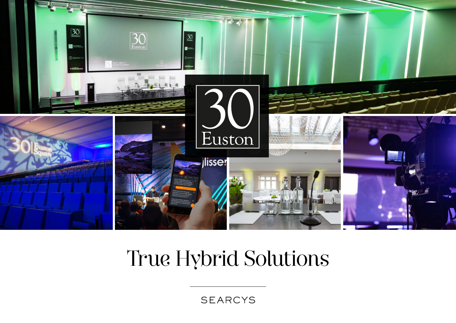

# True Hybrid Solutions

**SEARCYS**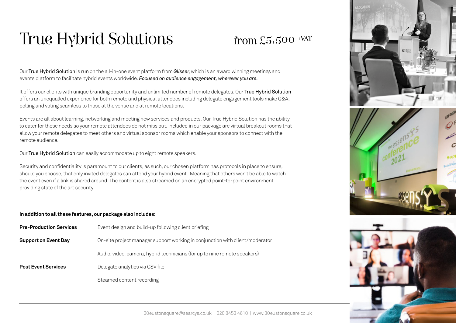### True Hybrid Solutions

### from  $£5,500$  +VAT

Our True Hybrid Solution is run on the all-in-one event platform from *Glisser*, which is an award winning meetings and events platform to facilitate hybrid events worldwide. *Focused on audience engagement, wherever you are.*

It offers our clients with unique branding opportunity and unlimited number of remote delegates. Our True Hybrid Solution offers an unequalled experience for both remote and physical attendees including delegate engagement tools make Q&A, polling and voting seamless to those at the venue and at remote locations.

Events are all about learning, networking and meeting new services and products. Our True Hybrid Solution has the ability to cater for these needs so your remote attendees do not miss out. Included in our package are virtual breakout rooms that allow your remote delegates to meet others and virtual sponsor rooms which enable your sponsors to connect with the remote audience.

Our True Hybrid Solution can easily accommodate up to eight remote speakers.

Security and confidentiality is paramount to our clients, as such, our chosen platform has protocols in place to ensure, should you choose, that only invited delegates can attend your hybrid event. Meaning that others won't be able to watch the event even if a link is shared around. The content is also streamed on an encrypted point-to-point environment providing state of the art security.

#### **In addition to all these features, our package also includes:**

| <b>Pre-Production Services</b> | Event design and build-up following client briefing                          |
|--------------------------------|------------------------------------------------------------------------------|
| <b>Support on Event Day</b>    | On-site project manager support working in conjunction with client/moderator |
|                                | Audio, video, camera, hybrid technicians (for up to nine remote speakers)    |
| <b>Post Event Services</b>     | Delegate analytics via CSV file                                              |
|                                | Steamed content recording                                                    |



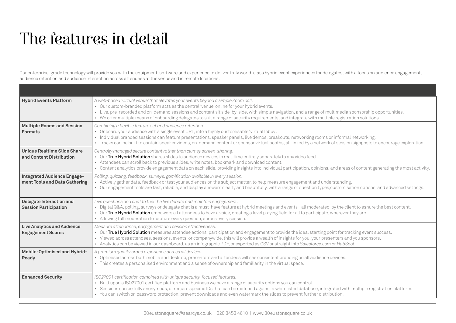## The features in detail

Our enterprise-grade technology will provide you with the equipment, software and experience to deliver truly world-class hybrid event experiences for delegates, with a focus on audience engagement, audience retention and audience interaction across attendees at the venue and in remote locations.

| <b>Hybrid Events Platform</b>                                       | A web-based 'virtual venue' that elevates your events beyond a simple Zoom call.<br>• Our custom-branded platform acts as the central 'venue' online for your hybrid events.<br>· Live, pre-recorded and on-demand sessions and content sit side-by-side, with simple navigation, and a range of multimedia sponsorship opportunities.<br>• We offer multiple means of onboarding delegates to suit a range of security requirements, and integrate with multiple registration solutions.              |
|---------------------------------------------------------------------|--------------------------------------------------------------------------------------------------------------------------------------------------------------------------------------------------------------------------------------------------------------------------------------------------------------------------------------------------------------------------------------------------------------------------------------------------------------------------------------------------------|
| <b>Multiple Rooms and Session</b><br><b>Formats</b>                 | Combining a flexible feature set and audience retention<br>• Onboard your audience with a single event URL, into a highly customisable 'virtual lobby'.<br>• Individual branded sessions can feature presentations, speaker panels, live demos, breakouts, networking rooms or informal networking.<br>· Tracks can be built to contain speaker videos, on-demand content or sponsor virtual booths, all linked by a network of session signposts to encourage exploration.                            |
| <b>Unique Realtime Slide Share</b><br>and Content Distribution      | Centrally managed secure content rather than clumsy screen-sharing.<br>. Our True Hybrid Solution shares slides to audience devices in real-time entirely separately to any video feed.<br>• Attendees can scroll back to previous slides, write notes, bookmark and download content.<br>• Content analytics provide engagement data on each slide, providing insights into individual participation, opinions, and areas of content generating the most activity.                                    |
| <b>Integrated Audience Engage-</b><br>ment Tools and Data Gathering | Polling, quizzing, feedback, surveys, gamification available in every session.<br>• Actively gather data, feedback or test your audiences on the subject matter, to help measure engagement and understanding.<br>· Our engagement tools are fast, reliable, and display answers clearly and beautifully, with a range of question types, customisation options, and advanced settings.                                                                                                                |
| Delegate Interaction and<br><b>Session Participation</b>            | Live questions and chat to fuel the live debate and maintain engagement.<br>· Digital Q&A, polling, surveys or delegate chat is a must-have feature at hybrid meetings and events - all moderated by the client to esnure the best content.<br>. Our True Hybrid Solution empowers all attendees to have a voice, creating a level playing field for all to participate, wherever they are.<br>• Allowing full moderation to capture every question, across every session.                             |
| <b>Live Analytics and Audience</b><br><b>Engagement Scores</b>      | Measure attendance, engagement and session effectiveness.<br>. Our True Hybrid Solution measures attendee actions, participation and engagement to provide the ideal starting point for tracking event success.<br>· Viewed across attendees, sessions, events, or companywide, this will provide a wealth of insights for you, your presenters and you sponsors.<br>• Analytics can be viewed in our dashboard, as an infographic PDF, or exported as CSV or straight into Salesforce.com or HubSpot. |
| Mobile-Optimised and Hybrid-<br>Ready                               | A premium quality brand experience across all devices.<br>• Optimised across both mobile and desktop, presenters and attendees will see consistent branding on all audience devices.<br>• This creates a personalised environment and a sense of ownership and familiarity in the virtual space.                                                                                                                                                                                                       |
| <b>Enhanced Security</b>                                            | ISO27001 certification combined with unique security-focused features.<br>Built upon a ISO27001 certified platform and business we have a range of security options you can control.<br>$\bullet$<br>Sessions can be fully anonymous, or require specific IDs that can be matched against a whitelisted database, integrated with multiple registration platform.<br>• You can switch on password protection, prevent downloads and even watermark the slides to prevent further distribution.         |